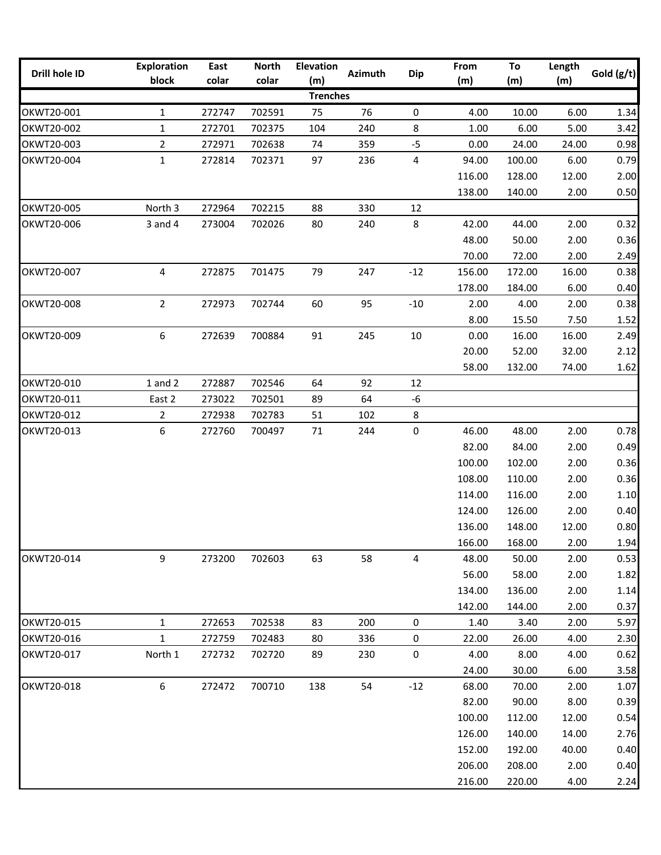| Drill hole ID            | <b>Exploration</b> | East   | <b>North</b> | <b>Elevation</b>       | <b>Azimuth</b> | <b>Dip</b> | From   | To     | Length | Gold $(g/t)$ |
|--------------------------|--------------------|--------|--------------|------------------------|----------------|------------|--------|--------|--------|--------------|
|                          | block              | colar  | colar        | (m)<br><b>Trenches</b> |                |            | (m)    | (m)    | (m)    |              |
|                          |                    |        |              |                        |                |            |        |        |        |              |
| OKWT20-001               | 1                  | 272747 | 702591       | 75                     | 76             | 0          | 4.00   | 10.00  | 6.00   | 1.34         |
| OKWT20-002               | $\mathbf{1}$       | 272701 | 702375       | 104                    | 240            | 8          | 1.00   | 6.00   | 5.00   | 3.42         |
| OKWT20-003               | $\overline{2}$     | 272971 | 702638       | 74                     | 359            | $-5$       | 0.00   | 24.00  | 24.00  | 0.98         |
| OKWT20-004               | $\mathbf{1}$       | 272814 | 702371       | 97                     | 236            | 4          | 94.00  | 100.00 | 6.00   | 0.79         |
|                          |                    |        |              |                        |                |            | 116.00 | 128.00 | 12.00  | 2.00         |
|                          |                    |        |              |                        |                |            | 138.00 | 140.00 | 2.00   | 0.50         |
| OKWT20-005<br>OKWT20-006 | North 3            | 272964 | 702215       | 88                     | 330            | 12         |        |        |        |              |
|                          | $3$ and $4$        | 273004 | 702026       | 80                     | 240            | 8          | 42.00  | 44.00  | 2.00   | 0.32         |
|                          |                    |        |              |                        |                |            | 48.00  | 50.00  | 2.00   | 0.36         |
|                          |                    |        |              |                        |                |            | 70.00  | 72.00  | 2.00   | 2.49         |
| OKWT20-007               | 4                  | 272875 | 701475       | 79                     | 247            | $-12$      | 156.00 | 172.00 | 16.00  | 0.38         |
|                          |                    |        |              |                        |                |            | 178.00 | 184.00 | 6.00   | 0.40         |
| OKWT20-008               | $\overline{2}$     | 272973 | 702744       | 60                     | 95             | $-10$      | 2.00   | 4.00   | 2.00   | 0.38         |
|                          |                    |        |              |                        |                |            | 8.00   | 15.50  | 7.50   | 1.52         |
| OKWT20-009               | 6                  | 272639 | 700884       | 91                     | 245            | $10\,$     | 0.00   | 16.00  | 16.00  | 2.49         |
|                          |                    |        |              |                        |                |            | 20.00  | 52.00  | 32.00  | 2.12         |
|                          |                    |        |              |                        |                |            | 58.00  | 132.00 | 74.00  | 1.62         |
| OKWT20-010               | $1$ and $2$        | 272887 | 702546       | 64                     | 92             | 12         |        |        |        |              |
| OKWT20-011               | East 2             | 273022 | 702501       | 89                     | 64             | $-6$       |        |        |        |              |
| OKWT20-012               | $\overline{2}$     | 272938 | 702783       | 51                     | 102            | 8          |        |        |        |              |
| OKWT20-013               | 6                  | 272760 | 700497       | 71                     | 244            | 0          | 46.00  | 48.00  | 2.00   | 0.78         |
|                          |                    |        |              |                        |                |            | 82.00  | 84.00  | 2.00   | 0.49         |
|                          |                    |        |              |                        |                |            | 100.00 | 102.00 | 2.00   | 0.36         |
|                          |                    |        |              |                        |                |            | 108.00 | 110.00 | 2.00   | 0.36         |
|                          |                    |        |              |                        |                |            | 114.00 | 116.00 | 2.00   | 1.10         |
|                          |                    |        |              |                        |                |            | 124.00 | 126.00 | 2.00   | 0.40         |
|                          |                    |        |              |                        |                |            | 136.00 | 148.00 | 12.00  | 0.80         |
|                          |                    |        |              |                        |                |            | 166.00 | 168.00 | 2.00   | 1.94         |
| OKWT20-014               | 9                  | 273200 | 702603       | 63                     | 58             | 4          | 48.00  | 50.00  | 2.00   | 0.53         |
|                          |                    |        |              |                        |                |            | 56.00  | 58.00  | 2.00   | 1.82         |
|                          |                    |        |              |                        |                |            | 134.00 | 136.00 | 2.00   | 1.14         |
|                          |                    |        |              |                        |                |            | 142.00 | 144.00 | 2.00   | 0.37         |
| OKWT20-015               | $\mathbf 1$        | 272653 | 702538       | 83                     | 200            | 0          | 1.40   | 3.40   | 2.00   | 5.97         |
| OKWT20-016               | $\mathbf{1}$       | 272759 | 702483       | 80                     | 336            | 0          | 22.00  | 26.00  | 4.00   | 2.30         |
| OKWT20-017               | North 1            | 272732 | 702720       | 89                     | 230            | 0          | 4.00   | 8.00   | 4.00   | 0.62         |
|                          |                    |        |              |                        |                |            | 24.00  | 30.00  | 6.00   | 3.58         |
| OKWT20-018               | 6                  | 272472 | 700710       | 138                    | 54             | $-12$      | 68.00  | 70.00  | 2.00   | 1.07         |
|                          |                    |        |              |                        |                |            | 82.00  | 90.00  | 8.00   | 0.39         |
|                          |                    |        |              |                        |                |            | 100.00 | 112.00 | 12.00  | 0.54         |
|                          |                    |        |              |                        |                |            | 126.00 | 140.00 | 14.00  | 2.76         |
|                          |                    |        |              |                        |                |            | 152.00 | 192.00 | 40.00  | 0.40         |
|                          |                    |        |              |                        |                |            | 206.00 | 208.00 | 2.00   | 0.40         |
|                          |                    |        |              |                        |                |            | 216.00 | 220.00 | 4.00   | 2.24         |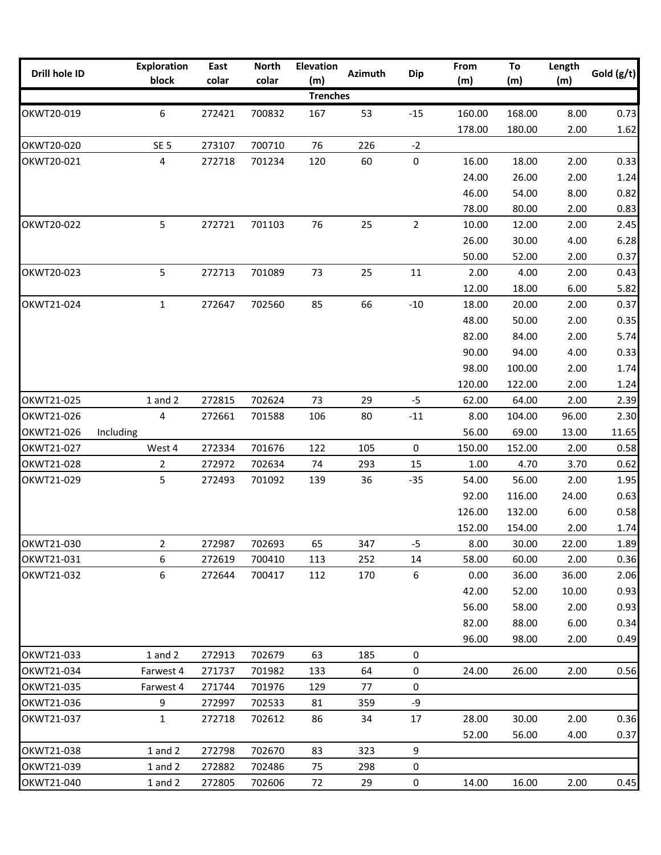| Drill hole ID | <b>Exploration</b><br>block | East<br>colar | <b>North</b><br>colar | <b>Elevation</b><br>(m) | <b>Azimuth</b> | <b>Dip</b>     | From<br>(m) | To<br>(m) | Length<br>(m) | Gold $(g/t)$ |
|---------------|-----------------------------|---------------|-----------------------|-------------------------|----------------|----------------|-------------|-----------|---------------|--------------|
|               |                             |               |                       | <b>Trenches</b>         |                |                |             |           |               |              |
| OKWT20-019    | 6                           | 272421        | 700832                | 167                     | 53             | $-15$          | 160.00      | 168.00    | 8.00          | 0.73         |
|               |                             |               |                       |                         |                |                | 178.00      | 180.00    | 2.00          | 1.62         |
| OKWT20-020    | SE <sub>5</sub>             | 273107        | 700710                | 76                      | 226            | $-2$           |             |           |               |              |
| OKWT20-021    | 4                           | 272718        | 701234                | 120                     | 60             | $\pmb{0}$      | 16.00       | 18.00     | 2.00          | 0.33         |
|               |                             |               |                       |                         |                |                | 24.00       | 26.00     | 2.00          | 1.24         |
|               |                             |               |                       |                         |                |                | 46.00       | 54.00     | 8.00          | 0.82         |
|               |                             |               |                       |                         |                |                | 78.00       | 80.00     | 2.00          | 0.83         |
| OKWT20-022    | 5                           | 272721        | 701103                | 76                      | 25             | $\overline{2}$ | 10.00       | 12.00     | 2.00          | 2.45         |
|               |                             |               |                       |                         |                |                | 26.00       | 30.00     | 4.00          | 6.28         |
|               |                             |               |                       |                         |                |                | 50.00       | 52.00     | 2.00          | 0.37         |
| OKWT20-023    | 5                           | 272713        | 701089                | 73                      | 25             | 11             | 2.00        | 4.00      | 2.00          | 0.43         |
|               |                             |               |                       |                         |                |                | 12.00       | 18.00     | 6.00          | 5.82         |
| OKWT21-024    | $\mathbf 1$                 | 272647        | 702560                | 85                      | 66             | $-10$          | 18.00       | 20.00     | 2.00          | 0.37         |
|               |                             |               |                       |                         |                |                | 48.00       | 50.00     | 2.00          | 0.35         |
|               |                             |               |                       |                         |                |                | 82.00       | 84.00     | 2.00          | 5.74         |
|               |                             |               |                       |                         |                |                | 90.00       | 94.00     | 4.00          | 0.33         |
|               |                             |               |                       |                         |                |                | 98.00       | 100.00    | 2.00          | 1.74         |
|               |                             |               |                       |                         |                |                | 120.00      | 122.00    | 2.00          | 1.24         |
| OKWT21-025    | $1$ and $2$                 | 272815        | 702624                | 73                      | 29             | $-5$           | 62.00       | 64.00     | 2.00          | 2.39         |
| OKWT21-026    | 4                           | 272661        | 701588                | 106                     | 80             | $-11$          | 8.00        | 104.00    | 96.00         | 2.30         |
| OKWT21-026    | Including                   |               |                       |                         |                |                | 56.00       | 69.00     | 13.00         | 11.65        |
| OKWT21-027    | West 4                      | 272334        | 701676                | 122                     | 105            | $\mathbf 0$    | 150.00      | 152.00    | 2.00          | 0.58         |
| OKWT21-028    | $\overline{2}$              | 272972        | 702634                | 74                      | 293            | 15             | 1.00        | 4.70      | 3.70          | 0.62         |
| OKWT21-029    | 5                           | 272493        | 701092                | 139                     | 36             | $-35$          | 54.00       | 56.00     | 2.00          | 1.95         |
|               |                             |               |                       |                         |                |                | 92.00       | 116.00    | 24.00         | 0.63         |
|               |                             |               |                       |                         |                |                | 126.00      | 132.00    | 6.00          | 0.58         |
|               |                             |               |                       |                         |                |                | 152.00      | 154.00    | 2.00          | 1.74         |
| OKWT21-030    | $\overline{2}$              | 272987        | 702693                | 65                      | 347            | $-5$           | 8.00        | 30.00     | 22.00         | 1.89         |
| OKWT21-031    | 6                           | 272619        | 700410                | 113                     | 252            | 14             | 58.00       | 60.00     | 2.00          | 0.36         |
| OKWT21-032    | 6                           | 272644        | 700417                | 112                     | 170            | 6              | 0.00        | 36.00     | 36.00         | 2.06         |
|               |                             |               |                       |                         |                |                | 42.00       | 52.00     | 10.00         | 0.93         |
|               |                             |               |                       |                         |                |                | 56.00       | 58.00     | 2.00          | 0.93         |
|               |                             |               |                       |                         |                |                | 82.00       | 88.00     | 6.00          | 0.34         |
|               |                             |               |                       |                         |                |                | 96.00       | 98.00     | 2.00          | 0.49         |
| OKWT21-033    | $1$ and $2$                 | 272913        | 702679                | 63                      | 185            | 0              |             |           |               |              |
| OKWT21-034    | Farwest 4                   | 271737        | 701982                | 133                     | 64             | $\mathbf 0$    | 24.00       | 26.00     | 2.00          | 0.56         |
| OKWT21-035    | Farwest 4                   | 271744        | 701976                | 129                     | 77             | 0              |             |           |               |              |
| OKWT21-036    | 9                           | 272997        | 702533                | 81                      | 359            | -9             |             |           |               |              |
| OKWT21-037    | $\mathbf{1}$                | 272718        | 702612                | 86                      | 34             | 17             | 28.00       | 30.00     | 2.00          | 0.36         |
|               |                             |               |                       |                         |                |                | 52.00       | 56.00     | 4.00          | 0.37         |
| OKWT21-038    | $1$ and $2$                 | 272798        | 702670                | 83                      | 323            | 9              |             |           |               |              |
| OKWT21-039    | $1$ and $2$                 | 272882        | 702486                | 75                      | 298            | 0              |             |           |               |              |
| OKWT21-040    | $1$ and $2$                 | 272805        | 702606                | 72                      | 29             | 0              | 14.00       | 16.00     | 2.00          | 0.45         |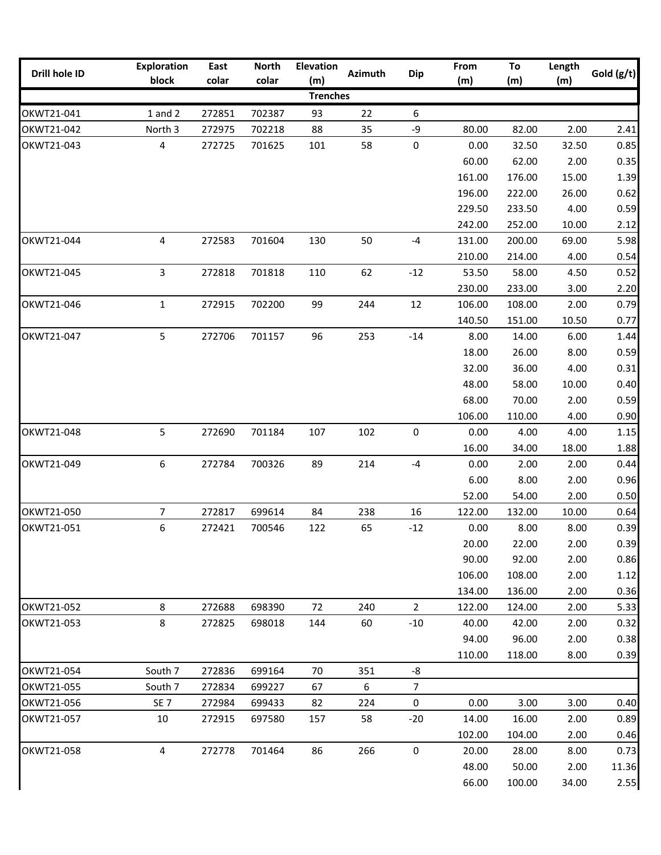| <b>Trenches</b><br>$1$ and $2$<br>702387<br>93<br>22<br>6<br>272851<br>OKWT21-042<br>North 3<br>80.00<br>82.00<br>2.00<br>272975<br>702218<br>88<br>35<br>-9<br>2.41<br>4<br>$\pmb{0}$<br>101<br>58<br>0.00<br>0.85<br>272725<br>701625<br>32.50<br>32.50<br>0.35<br>60.00<br>62.00<br>2.00<br>1.39<br>161.00<br>176.00<br>15.00<br>196.00<br>0.62<br>222.00<br>26.00<br>0.59<br>229.50<br>233.50<br>4.00<br>242.00<br>252.00<br>10.00<br>2.12<br>4<br>50<br>$-4$<br>272583<br>701604<br>130<br>5.98<br>131.00<br>200.00<br>69.00<br>0.54<br>210.00<br>214.00<br>4.00<br>3<br>272818<br>701818<br>62<br>$-12$<br>53.50<br>58.00<br>0.52<br>OKWT21-045<br>110<br>4.50<br>230.00<br>233.00<br>2.20<br>3.00<br>$\mathbf 1$<br>272915<br>702200<br>99<br>12<br>106.00<br>2.00<br>0.79<br>244<br>108.00<br>140.50<br>0.77<br>151.00<br>10.50<br>5<br>272706<br>701157<br>96<br>253<br>$-14$<br>6.00<br>1.44<br>8.00<br>14.00<br>0.59<br>18.00<br>26.00<br>8.00<br>32.00<br>36.00<br>4.00<br>0.31<br>0.40<br>48.00<br>58.00<br>10.00<br>0.59<br>68.00<br>70.00<br>2.00<br>106.00<br>0.90<br>110.00<br>4.00<br>5<br>$\pmb{0}$<br>OKWT21-048<br>272690<br>701184<br>107<br>102<br>4.00<br>1.15<br>0.00<br>4.00<br>1.88<br>16.00<br>34.00<br>18.00<br>6<br>272784<br>700326<br>89<br>214<br>$-4$<br>0.44<br>0.00<br>2.00<br>2.00<br>0.96<br>6.00<br>8.00<br>2.00<br>0.50<br>52.00<br>54.00<br>2.00<br>0.64<br>7<br>272817<br>699614<br>84<br>238<br>16<br>122.00<br>132.00<br>10.00<br>6<br>OKWT21-051<br>0.39<br>272421<br>700546<br>122<br>65<br>$-12$<br>0.00<br>8.00<br>8.00<br>20.00<br>22.00<br>2.00<br>0.39<br>0.86<br>90.00<br>92.00<br>2.00<br>106.00<br>108.00<br>2.00<br>1.12<br>134.00<br>136.00<br>2.00<br>0.36<br>8<br>698390<br>$\overline{2}$<br>5.33<br>272688<br>72<br>240<br>122.00<br>124.00<br>2.00<br>8<br>OKWT21-053<br>272825<br>60<br>$-10$<br>2.00<br>0.32<br>698018<br>144<br>40.00<br>42.00<br>94.00<br>96.00<br>2.00<br>0.38<br>0.39<br>110.00<br>8.00<br>118.00<br>South 7<br>272836<br>699164<br>-8<br>70<br>351<br>272834<br>6<br>$\overline{7}$<br>South 7<br>699227<br>67<br>0.40<br>SE <sub>7</sub><br>$\mathbf 0$<br>0.00<br>272984<br>699433<br>82<br>224<br>3.00<br>3.00<br>OKWT21-057<br>0.89<br>10<br>272915<br>697580<br>58<br>$-20$<br>14.00<br>16.00<br>2.00<br>157<br>102.00<br>2.00<br>0.46<br>104.00<br>$\mathsf 0$<br>86<br>0.73<br>4<br>272778<br>701464<br>266<br>20.00<br>28.00<br>8.00<br>50.00<br>48.00<br>2.00<br>11.36<br>66.00<br>100.00<br>2.55<br>34.00 | Drill hole ID | <b>Exploration</b><br>block | East<br>colar | <b>North</b><br>colar | <b>Elevation</b><br>(m) | Azimuth | <b>Dip</b> | From<br>(m) | To<br>(m) | Length<br>(m) | Gold $(g/t)$ |
|---------------------------------------------------------------------------------------------------------------------------------------------------------------------------------------------------------------------------------------------------------------------------------------------------------------------------------------------------------------------------------------------------------------------------------------------------------------------------------------------------------------------------------------------------------------------------------------------------------------------------------------------------------------------------------------------------------------------------------------------------------------------------------------------------------------------------------------------------------------------------------------------------------------------------------------------------------------------------------------------------------------------------------------------------------------------------------------------------------------------------------------------------------------------------------------------------------------------------------------------------------------------------------------------------------------------------------------------------------------------------------------------------------------------------------------------------------------------------------------------------------------------------------------------------------------------------------------------------------------------------------------------------------------------------------------------------------------------------------------------------------------------------------------------------------------------------------------------------------------------------------------------------------------------------------------------------------------------------------------------------------------------------------------------------------------------------------------------------------------------------------------------------------------------------------------------------------------------------------------------------------------------------------------------------------------------------------------------------------------------------------------------------------------------------------------------------------------------------------------------------------|---------------|-----------------------------|---------------|-----------------------|-------------------------|---------|------------|-------------|-----------|---------------|--------------|
|                                                                                                                                                                                                                                                                                                                                                                                                                                                                                                                                                                                                                                                                                                                                                                                                                                                                                                                                                                                                                                                                                                                                                                                                                                                                                                                                                                                                                                                                                                                                                                                                                                                                                                                                                                                                                                                                                                                                                                                                                                                                                                                                                                                                                                                                                                                                                                                                                                                                                                         |               |                             |               |                       |                         |         |            |             |           |               |              |
|                                                                                                                                                                                                                                                                                                                                                                                                                                                                                                                                                                                                                                                                                                                                                                                                                                                                                                                                                                                                                                                                                                                                                                                                                                                                                                                                                                                                                                                                                                                                                                                                                                                                                                                                                                                                                                                                                                                                                                                                                                                                                                                                                                                                                                                                                                                                                                                                                                                                                                         | OKWT21-041    |                             |               |                       |                         |         |            |             |           |               |              |
|                                                                                                                                                                                                                                                                                                                                                                                                                                                                                                                                                                                                                                                                                                                                                                                                                                                                                                                                                                                                                                                                                                                                                                                                                                                                                                                                                                                                                                                                                                                                                                                                                                                                                                                                                                                                                                                                                                                                                                                                                                                                                                                                                                                                                                                                                                                                                                                                                                                                                                         |               |                             |               |                       |                         |         |            |             |           |               |              |
|                                                                                                                                                                                                                                                                                                                                                                                                                                                                                                                                                                                                                                                                                                                                                                                                                                                                                                                                                                                                                                                                                                                                                                                                                                                                                                                                                                                                                                                                                                                                                                                                                                                                                                                                                                                                                                                                                                                                                                                                                                                                                                                                                                                                                                                                                                                                                                                                                                                                                                         | OKWT21-043    |                             |               |                       |                         |         |            |             |           |               |              |
|                                                                                                                                                                                                                                                                                                                                                                                                                                                                                                                                                                                                                                                                                                                                                                                                                                                                                                                                                                                                                                                                                                                                                                                                                                                                                                                                                                                                                                                                                                                                                                                                                                                                                                                                                                                                                                                                                                                                                                                                                                                                                                                                                                                                                                                                                                                                                                                                                                                                                                         |               |                             |               |                       |                         |         |            |             |           |               |              |
|                                                                                                                                                                                                                                                                                                                                                                                                                                                                                                                                                                                                                                                                                                                                                                                                                                                                                                                                                                                                                                                                                                                                                                                                                                                                                                                                                                                                                                                                                                                                                                                                                                                                                                                                                                                                                                                                                                                                                                                                                                                                                                                                                                                                                                                                                                                                                                                                                                                                                                         |               |                             |               |                       |                         |         |            |             |           |               |              |
|                                                                                                                                                                                                                                                                                                                                                                                                                                                                                                                                                                                                                                                                                                                                                                                                                                                                                                                                                                                                                                                                                                                                                                                                                                                                                                                                                                                                                                                                                                                                                                                                                                                                                                                                                                                                                                                                                                                                                                                                                                                                                                                                                                                                                                                                                                                                                                                                                                                                                                         |               |                             |               |                       |                         |         |            |             |           |               |              |
|                                                                                                                                                                                                                                                                                                                                                                                                                                                                                                                                                                                                                                                                                                                                                                                                                                                                                                                                                                                                                                                                                                                                                                                                                                                                                                                                                                                                                                                                                                                                                                                                                                                                                                                                                                                                                                                                                                                                                                                                                                                                                                                                                                                                                                                                                                                                                                                                                                                                                                         |               |                             |               |                       |                         |         |            |             |           |               |              |
|                                                                                                                                                                                                                                                                                                                                                                                                                                                                                                                                                                                                                                                                                                                                                                                                                                                                                                                                                                                                                                                                                                                                                                                                                                                                                                                                                                                                                                                                                                                                                                                                                                                                                                                                                                                                                                                                                                                                                                                                                                                                                                                                                                                                                                                                                                                                                                                                                                                                                                         |               |                             |               |                       |                         |         |            |             |           |               |              |
|                                                                                                                                                                                                                                                                                                                                                                                                                                                                                                                                                                                                                                                                                                                                                                                                                                                                                                                                                                                                                                                                                                                                                                                                                                                                                                                                                                                                                                                                                                                                                                                                                                                                                                                                                                                                                                                                                                                                                                                                                                                                                                                                                                                                                                                                                                                                                                                                                                                                                                         | OKWT21-044    |                             |               |                       |                         |         |            |             |           |               |              |
|                                                                                                                                                                                                                                                                                                                                                                                                                                                                                                                                                                                                                                                                                                                                                                                                                                                                                                                                                                                                                                                                                                                                                                                                                                                                                                                                                                                                                                                                                                                                                                                                                                                                                                                                                                                                                                                                                                                                                                                                                                                                                                                                                                                                                                                                                                                                                                                                                                                                                                         |               |                             |               |                       |                         |         |            |             |           |               |              |
|                                                                                                                                                                                                                                                                                                                                                                                                                                                                                                                                                                                                                                                                                                                                                                                                                                                                                                                                                                                                                                                                                                                                                                                                                                                                                                                                                                                                                                                                                                                                                                                                                                                                                                                                                                                                                                                                                                                                                                                                                                                                                                                                                                                                                                                                                                                                                                                                                                                                                                         |               |                             |               |                       |                         |         |            |             |           |               |              |
|                                                                                                                                                                                                                                                                                                                                                                                                                                                                                                                                                                                                                                                                                                                                                                                                                                                                                                                                                                                                                                                                                                                                                                                                                                                                                                                                                                                                                                                                                                                                                                                                                                                                                                                                                                                                                                                                                                                                                                                                                                                                                                                                                                                                                                                                                                                                                                                                                                                                                                         |               |                             |               |                       |                         |         |            |             |           |               |              |
|                                                                                                                                                                                                                                                                                                                                                                                                                                                                                                                                                                                                                                                                                                                                                                                                                                                                                                                                                                                                                                                                                                                                                                                                                                                                                                                                                                                                                                                                                                                                                                                                                                                                                                                                                                                                                                                                                                                                                                                                                                                                                                                                                                                                                                                                                                                                                                                                                                                                                                         | OKWT21-046    |                             |               |                       |                         |         |            |             |           |               |              |
|                                                                                                                                                                                                                                                                                                                                                                                                                                                                                                                                                                                                                                                                                                                                                                                                                                                                                                                                                                                                                                                                                                                                                                                                                                                                                                                                                                                                                                                                                                                                                                                                                                                                                                                                                                                                                                                                                                                                                                                                                                                                                                                                                                                                                                                                                                                                                                                                                                                                                                         |               |                             |               |                       |                         |         |            |             |           |               |              |
|                                                                                                                                                                                                                                                                                                                                                                                                                                                                                                                                                                                                                                                                                                                                                                                                                                                                                                                                                                                                                                                                                                                                                                                                                                                                                                                                                                                                                                                                                                                                                                                                                                                                                                                                                                                                                                                                                                                                                                                                                                                                                                                                                                                                                                                                                                                                                                                                                                                                                                         | OKWT21-047    |                             |               |                       |                         |         |            |             |           |               |              |
|                                                                                                                                                                                                                                                                                                                                                                                                                                                                                                                                                                                                                                                                                                                                                                                                                                                                                                                                                                                                                                                                                                                                                                                                                                                                                                                                                                                                                                                                                                                                                                                                                                                                                                                                                                                                                                                                                                                                                                                                                                                                                                                                                                                                                                                                                                                                                                                                                                                                                                         |               |                             |               |                       |                         |         |            |             |           |               |              |
|                                                                                                                                                                                                                                                                                                                                                                                                                                                                                                                                                                                                                                                                                                                                                                                                                                                                                                                                                                                                                                                                                                                                                                                                                                                                                                                                                                                                                                                                                                                                                                                                                                                                                                                                                                                                                                                                                                                                                                                                                                                                                                                                                                                                                                                                                                                                                                                                                                                                                                         |               |                             |               |                       |                         |         |            |             |           |               |              |
|                                                                                                                                                                                                                                                                                                                                                                                                                                                                                                                                                                                                                                                                                                                                                                                                                                                                                                                                                                                                                                                                                                                                                                                                                                                                                                                                                                                                                                                                                                                                                                                                                                                                                                                                                                                                                                                                                                                                                                                                                                                                                                                                                                                                                                                                                                                                                                                                                                                                                                         |               |                             |               |                       |                         |         |            |             |           |               |              |
|                                                                                                                                                                                                                                                                                                                                                                                                                                                                                                                                                                                                                                                                                                                                                                                                                                                                                                                                                                                                                                                                                                                                                                                                                                                                                                                                                                                                                                                                                                                                                                                                                                                                                                                                                                                                                                                                                                                                                                                                                                                                                                                                                                                                                                                                                                                                                                                                                                                                                                         |               |                             |               |                       |                         |         |            |             |           |               |              |
|                                                                                                                                                                                                                                                                                                                                                                                                                                                                                                                                                                                                                                                                                                                                                                                                                                                                                                                                                                                                                                                                                                                                                                                                                                                                                                                                                                                                                                                                                                                                                                                                                                                                                                                                                                                                                                                                                                                                                                                                                                                                                                                                                                                                                                                                                                                                                                                                                                                                                                         |               |                             |               |                       |                         |         |            |             |           |               |              |
|                                                                                                                                                                                                                                                                                                                                                                                                                                                                                                                                                                                                                                                                                                                                                                                                                                                                                                                                                                                                                                                                                                                                                                                                                                                                                                                                                                                                                                                                                                                                                                                                                                                                                                                                                                                                                                                                                                                                                                                                                                                                                                                                                                                                                                                                                                                                                                                                                                                                                                         |               |                             |               |                       |                         |         |            |             |           |               |              |
|                                                                                                                                                                                                                                                                                                                                                                                                                                                                                                                                                                                                                                                                                                                                                                                                                                                                                                                                                                                                                                                                                                                                                                                                                                                                                                                                                                                                                                                                                                                                                                                                                                                                                                                                                                                                                                                                                                                                                                                                                                                                                                                                                                                                                                                                                                                                                                                                                                                                                                         |               |                             |               |                       |                         |         |            |             |           |               |              |
|                                                                                                                                                                                                                                                                                                                                                                                                                                                                                                                                                                                                                                                                                                                                                                                                                                                                                                                                                                                                                                                                                                                                                                                                                                                                                                                                                                                                                                                                                                                                                                                                                                                                                                                                                                                                                                                                                                                                                                                                                                                                                                                                                                                                                                                                                                                                                                                                                                                                                                         | OKWT21-049    |                             |               |                       |                         |         |            |             |           |               |              |
|                                                                                                                                                                                                                                                                                                                                                                                                                                                                                                                                                                                                                                                                                                                                                                                                                                                                                                                                                                                                                                                                                                                                                                                                                                                                                                                                                                                                                                                                                                                                                                                                                                                                                                                                                                                                                                                                                                                                                                                                                                                                                                                                                                                                                                                                                                                                                                                                                                                                                                         |               |                             |               |                       |                         |         |            |             |           |               |              |
|                                                                                                                                                                                                                                                                                                                                                                                                                                                                                                                                                                                                                                                                                                                                                                                                                                                                                                                                                                                                                                                                                                                                                                                                                                                                                                                                                                                                                                                                                                                                                                                                                                                                                                                                                                                                                                                                                                                                                                                                                                                                                                                                                                                                                                                                                                                                                                                                                                                                                                         |               |                             |               |                       |                         |         |            |             |           |               |              |
|                                                                                                                                                                                                                                                                                                                                                                                                                                                                                                                                                                                                                                                                                                                                                                                                                                                                                                                                                                                                                                                                                                                                                                                                                                                                                                                                                                                                                                                                                                                                                                                                                                                                                                                                                                                                                                                                                                                                                                                                                                                                                                                                                                                                                                                                                                                                                                                                                                                                                                         | OKWT21-050    |                             |               |                       |                         |         |            |             |           |               |              |
|                                                                                                                                                                                                                                                                                                                                                                                                                                                                                                                                                                                                                                                                                                                                                                                                                                                                                                                                                                                                                                                                                                                                                                                                                                                                                                                                                                                                                                                                                                                                                                                                                                                                                                                                                                                                                                                                                                                                                                                                                                                                                                                                                                                                                                                                                                                                                                                                                                                                                                         |               |                             |               |                       |                         |         |            |             |           |               |              |
|                                                                                                                                                                                                                                                                                                                                                                                                                                                                                                                                                                                                                                                                                                                                                                                                                                                                                                                                                                                                                                                                                                                                                                                                                                                                                                                                                                                                                                                                                                                                                                                                                                                                                                                                                                                                                                                                                                                                                                                                                                                                                                                                                                                                                                                                                                                                                                                                                                                                                                         |               |                             |               |                       |                         |         |            |             |           |               |              |
|                                                                                                                                                                                                                                                                                                                                                                                                                                                                                                                                                                                                                                                                                                                                                                                                                                                                                                                                                                                                                                                                                                                                                                                                                                                                                                                                                                                                                                                                                                                                                                                                                                                                                                                                                                                                                                                                                                                                                                                                                                                                                                                                                                                                                                                                                                                                                                                                                                                                                                         |               |                             |               |                       |                         |         |            |             |           |               |              |
|                                                                                                                                                                                                                                                                                                                                                                                                                                                                                                                                                                                                                                                                                                                                                                                                                                                                                                                                                                                                                                                                                                                                                                                                                                                                                                                                                                                                                                                                                                                                                                                                                                                                                                                                                                                                                                                                                                                                                                                                                                                                                                                                                                                                                                                                                                                                                                                                                                                                                                         |               |                             |               |                       |                         |         |            |             |           |               |              |
|                                                                                                                                                                                                                                                                                                                                                                                                                                                                                                                                                                                                                                                                                                                                                                                                                                                                                                                                                                                                                                                                                                                                                                                                                                                                                                                                                                                                                                                                                                                                                                                                                                                                                                                                                                                                                                                                                                                                                                                                                                                                                                                                                                                                                                                                                                                                                                                                                                                                                                         |               |                             |               |                       |                         |         |            |             |           |               |              |
|                                                                                                                                                                                                                                                                                                                                                                                                                                                                                                                                                                                                                                                                                                                                                                                                                                                                                                                                                                                                                                                                                                                                                                                                                                                                                                                                                                                                                                                                                                                                                                                                                                                                                                                                                                                                                                                                                                                                                                                                                                                                                                                                                                                                                                                                                                                                                                                                                                                                                                         | OKWT21-052    |                             |               |                       |                         |         |            |             |           |               |              |
|                                                                                                                                                                                                                                                                                                                                                                                                                                                                                                                                                                                                                                                                                                                                                                                                                                                                                                                                                                                                                                                                                                                                                                                                                                                                                                                                                                                                                                                                                                                                                                                                                                                                                                                                                                                                                                                                                                                                                                                                                                                                                                                                                                                                                                                                                                                                                                                                                                                                                                         |               |                             |               |                       |                         |         |            |             |           |               |              |
|                                                                                                                                                                                                                                                                                                                                                                                                                                                                                                                                                                                                                                                                                                                                                                                                                                                                                                                                                                                                                                                                                                                                                                                                                                                                                                                                                                                                                                                                                                                                                                                                                                                                                                                                                                                                                                                                                                                                                                                                                                                                                                                                                                                                                                                                                                                                                                                                                                                                                                         |               |                             |               |                       |                         |         |            |             |           |               |              |
|                                                                                                                                                                                                                                                                                                                                                                                                                                                                                                                                                                                                                                                                                                                                                                                                                                                                                                                                                                                                                                                                                                                                                                                                                                                                                                                                                                                                                                                                                                                                                                                                                                                                                                                                                                                                                                                                                                                                                                                                                                                                                                                                                                                                                                                                                                                                                                                                                                                                                                         |               |                             |               |                       |                         |         |            |             |           |               |              |
|                                                                                                                                                                                                                                                                                                                                                                                                                                                                                                                                                                                                                                                                                                                                                                                                                                                                                                                                                                                                                                                                                                                                                                                                                                                                                                                                                                                                                                                                                                                                                                                                                                                                                                                                                                                                                                                                                                                                                                                                                                                                                                                                                                                                                                                                                                                                                                                                                                                                                                         | OKWT21-054    |                             |               |                       |                         |         |            |             |           |               |              |
|                                                                                                                                                                                                                                                                                                                                                                                                                                                                                                                                                                                                                                                                                                                                                                                                                                                                                                                                                                                                                                                                                                                                                                                                                                                                                                                                                                                                                                                                                                                                                                                                                                                                                                                                                                                                                                                                                                                                                                                                                                                                                                                                                                                                                                                                                                                                                                                                                                                                                                         | OKWT21-055    |                             |               |                       |                         |         |            |             |           |               |              |
|                                                                                                                                                                                                                                                                                                                                                                                                                                                                                                                                                                                                                                                                                                                                                                                                                                                                                                                                                                                                                                                                                                                                                                                                                                                                                                                                                                                                                                                                                                                                                                                                                                                                                                                                                                                                                                                                                                                                                                                                                                                                                                                                                                                                                                                                                                                                                                                                                                                                                                         | OKWT21-056    |                             |               |                       |                         |         |            |             |           |               |              |
|                                                                                                                                                                                                                                                                                                                                                                                                                                                                                                                                                                                                                                                                                                                                                                                                                                                                                                                                                                                                                                                                                                                                                                                                                                                                                                                                                                                                                                                                                                                                                                                                                                                                                                                                                                                                                                                                                                                                                                                                                                                                                                                                                                                                                                                                                                                                                                                                                                                                                                         |               |                             |               |                       |                         |         |            |             |           |               |              |
|                                                                                                                                                                                                                                                                                                                                                                                                                                                                                                                                                                                                                                                                                                                                                                                                                                                                                                                                                                                                                                                                                                                                                                                                                                                                                                                                                                                                                                                                                                                                                                                                                                                                                                                                                                                                                                                                                                                                                                                                                                                                                                                                                                                                                                                                                                                                                                                                                                                                                                         |               |                             |               |                       |                         |         |            |             |           |               |              |
|                                                                                                                                                                                                                                                                                                                                                                                                                                                                                                                                                                                                                                                                                                                                                                                                                                                                                                                                                                                                                                                                                                                                                                                                                                                                                                                                                                                                                                                                                                                                                                                                                                                                                                                                                                                                                                                                                                                                                                                                                                                                                                                                                                                                                                                                                                                                                                                                                                                                                                         | OKWT21-058    |                             |               |                       |                         |         |            |             |           |               |              |
|                                                                                                                                                                                                                                                                                                                                                                                                                                                                                                                                                                                                                                                                                                                                                                                                                                                                                                                                                                                                                                                                                                                                                                                                                                                                                                                                                                                                                                                                                                                                                                                                                                                                                                                                                                                                                                                                                                                                                                                                                                                                                                                                                                                                                                                                                                                                                                                                                                                                                                         |               |                             |               |                       |                         |         |            |             |           |               |              |
|                                                                                                                                                                                                                                                                                                                                                                                                                                                                                                                                                                                                                                                                                                                                                                                                                                                                                                                                                                                                                                                                                                                                                                                                                                                                                                                                                                                                                                                                                                                                                                                                                                                                                                                                                                                                                                                                                                                                                                                                                                                                                                                                                                                                                                                                                                                                                                                                                                                                                                         |               |                             |               |                       |                         |         |            |             |           |               |              |